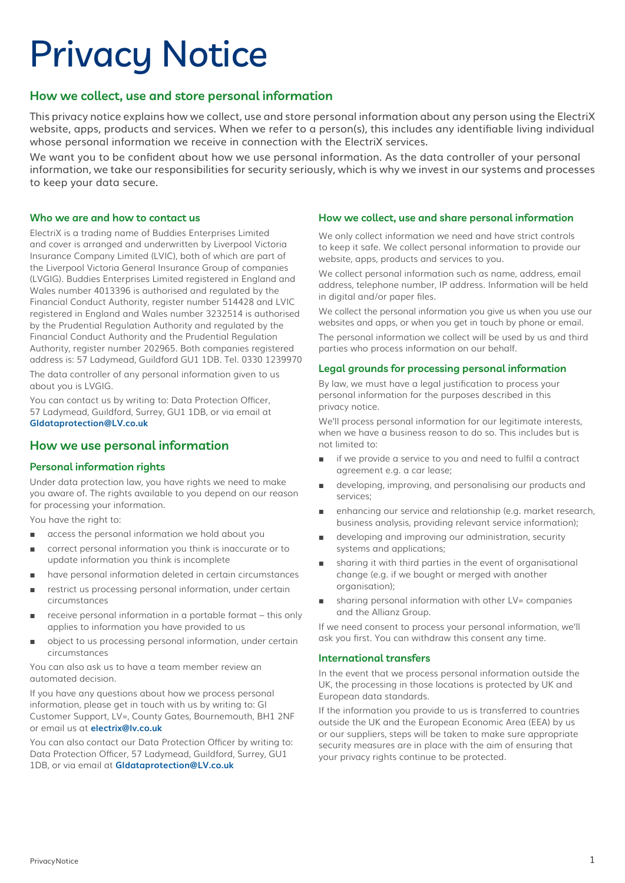# Privacy Notice

# **How we collect, use and store personal information**

This privacy notice explains how we collect, use and store personal information about any person using the ElectriX website, apps, products and services. When we refer to a person(s), this includes any identifiable living individual whose personal information we receive in connection with the ElectriX services.

We want you to be confident about how we use personal information. As the data controller of your personal information, we take our responsibilities for security seriously, which is why we invest in our systems and processes to keep your data secure.

#### **Who we are and how to contact us**

ElectriX is a trading name of Buddies Enterprises Limited and cover is arranged and underwritten by Liverpool Victoria Insurance Company Limited (LVIC), both of which are part of the Liverpool Victoria General Insurance Group of companies (LVGIG). Buddies Enterprises Limited registered in England and Wales number 4013396 is authorised and regulated by the Financial Conduct Authority, register number 514428 and LVIC registered in England and Wales number 3232514 is authorised by the Prudential Regulation Authority and regulated by the Financial Conduct Authority and the Prudential Regulation Authority, register number 202965. Both companies registered address is: 57 Ladymead, Guildford GU1 1DB. Tel. 0330 1239970

The data controller of any personal information given to us about you is LVGIG.

You can contact us by writing to: Data Protection Officer, 57 Ladymead, Guildford, Surrey, GU1 1DB, or via email at **GIdataprotection@LV.co.uk**

# **How we use personal information**

# **Personal information rights**

Under data protection law, you have rights we need to make you aware of. The rights available to you depend on our reason for processing your information.

You have the right to:

- access the personal information we hold about you
- correct personal information you think is inaccurate or to update information you think is incomplete
- have personal information deleted in certain circumstances
- restrict us processing personal information, under certain circumstances
- receive personal information in a portable format this only applies to information you have provided to us
- object to us processing personal information, under certain circumstances

You can also ask us to have a team member review an automated decision.

If you have any questions about how we process personal information, please get in touch with us by writing to: GI Customer Support, LV=, County Gates, Bournemouth, BH1 2NF or email us at **[electrix@lv.co.uk](mailto:electrix%40lv.co.uk?subject=)**

You can also contact our Data Protection Officer by writing to: Data Protection Officer, 57 Ladymead, Guildford, Surrey, GU1 1DB, or via email at **[GIdataprotection@LV.co.uk](mailto:GIdataprotection%40LV.co.uk?subject=)**

## **How we collect, use and share personal information**

We only collect information we need and have strict controls to keep it safe. We collect personal information to provide our website, apps, products and services to you.

We collect personal information such as name, address, email address, telephone number, IP address. Information will be held in digital and/or paper files.

We collect the personal information you give us when you use our websites and apps, or when you get in touch by phone or email.

The personal information we collect will be used by us and third parties who process information on our behalf.

## **Legal grounds for processing personal information**

By law, we must have a legal justification to process your personal information for the purposes described in this privacy notice.

We'll process personal information for our legitimate interests, when we have a business reason to do so. This includes but is not limited to:

- if we provide a service to you and need to fulfil a contract agreement e.g. a car lease;
- developing, improving, and personalising our products and services;
- enhancing our service and relationship (e.g. market research, business analysis, providing relevant service information);
- developing and improving our administration, security systems and applications;
- sharing it with third parties in the event of organisational change (e.g. if we bought or merged with another organisation);
- sharing personal information with other LV= companies and the Allianz Group.

If we need consent to process your personal information, we'll ask you first. You can withdraw this consent any time.

#### **International transfers**

In the event that we process personal information outside the UK, the processing in those locations is protected by UK and European data standards.

If the information you provide to us is transferred to countries outside the UK and the European Economic Area (EEA) by us or our suppliers, steps will be taken to make sure appropriate security measures are in place with the aim of ensuring that your privacy rights continue to be protected.